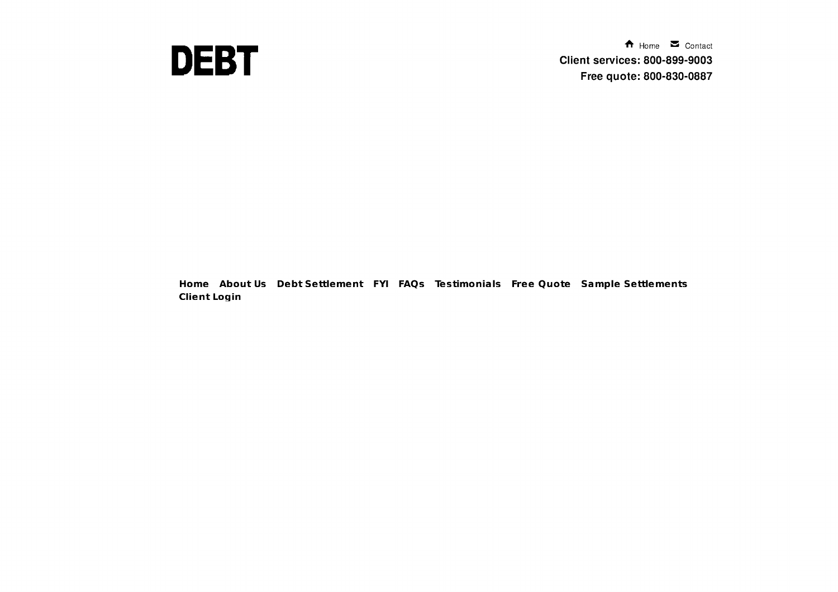

 $\bigwedge$  Home  $\bigtriangledown$  Contact **Client services: 800-899-9003** Free quote: 800-830-0887

Home About Us Debt Settlement FYI FAQs Testimonials Free Quote Sample Settlements **Client Login**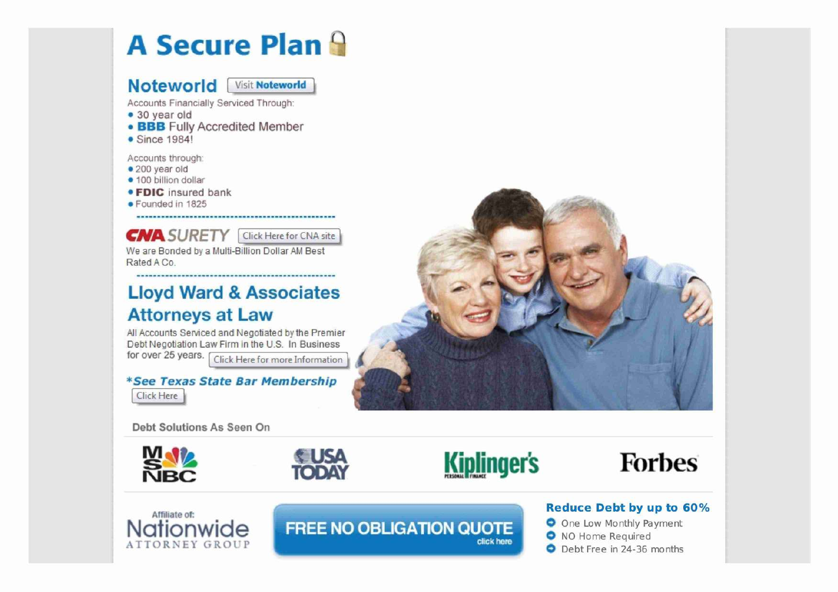## A Secure Plan 9

**Noteworld Visit Noteworld** 

Accounts Financially Serviced Through:

- 30 year old
- **BBB** Fully Accredited Member
- Since 1984!

Accounts through

- 200 year old
- 100 billion dollar
- **FDIC** insured bank
- Founded in 1825

**CNA SURETY** Click Here for CNA site

We are Bonded by a Multi-Billion Dollar AM Best Rated A Co.

### Lloyd Ward & Associates Attorneys at Law

All Accounts Serviced and Negotiated by the Premier Debt Negotiation Law Firm in the U.S. In Business for over 25 years. Click Here for more Information

\*See Texas State Bar Membership Click Here



Debt Solutions As Seen On









# **Nationwide**

Affiliate of:<br> **Affiliate of:**<br> **Reduce Debt by up to 60%**<br> **Reduce Debt by up to 60%**<br> **Reduce Debt by up to 60%**<br> **A** No Hame Beguired

O One Low Monthly Payment O NO Home Required dick here **Catalogue** NO Home Required<br> **C** Debt Free in 24-36 months